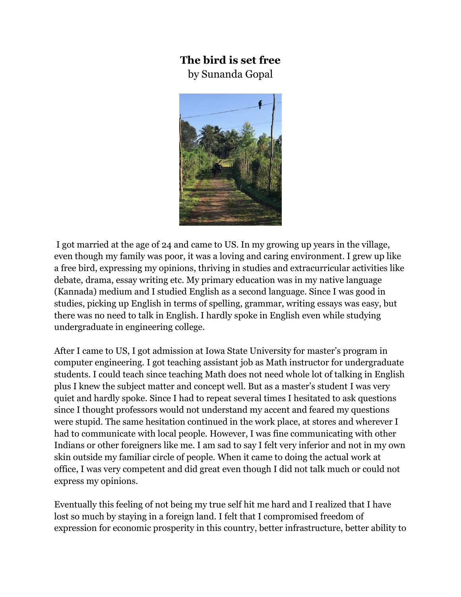## **The bird is set free**

by Sunanda Gopal



I got married at the age of 24 and came to US. In my growing up years in the village, even though my family was poor, it was a loving and caring environment. I grew up like a free bird, expressing my opinions, thriving in studies and extracurricular activities like debate, drama, essay writing etc. My primary education was in my native language (Kannada) medium and I studied English as a second language. Since I was good in studies, picking up English in terms of spelling, grammar, writing essays was easy, but there was no need to talk in English. I hardly spoke in English even while studying undergraduate in engineering college.

After I came to US, I got admission at Iowa State University for master's program in computer engineering. I got teaching assistant job as Math instructor for undergraduate students. I could teach since teaching Math does not need whole lot of talking in English plus I knew the subject matter and concept well. But as a master's student I was very quiet and hardly spoke. Since I had to repeat several times I hesitated to ask questions since I thought professors would not understand my accent and feared my questions were stupid. The same hesitation continued in the work place, at stores and wherever I had to communicate with local people. However, I was fine communicating with other Indians or other foreigners like me. I am sad to say I felt very inferior and not in my own skin outside my familiar circle of people. When it came to doing the actual work at office, I was very competent and did great even though I did not talk much or could not express my opinions.

Eventually this feeling of not being my true self hit me hard and I realized that I have lost so much by staying in a foreign land. I felt that I compromised freedom of expression for economic prosperity in this country, better infrastructure, better ability to